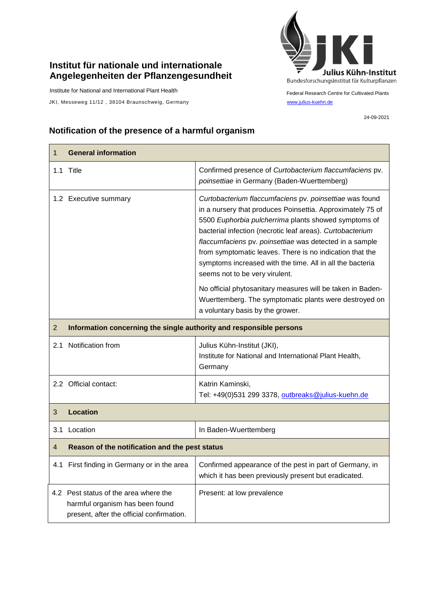## **Institut für nationale und internationale Angelegenheiten der Pflanzengesundheit**

Institute for National and International Plant Health

JKI, Messeweg 11/12, 38104 Braunschweig, Germany [www.julius-kuehn.de](http://www.julius-kuehn.de/)



Federal Research Centre for Cultivated Plants

24-09-2021

## **Notification of the presence of a harmful organism**

| $\mathbf{1}$   | <b>General information</b>                                                                                            |                                                                                                                                                                                                                                                                                                                                                                                                                                                                  |  |
|----------------|-----------------------------------------------------------------------------------------------------------------------|------------------------------------------------------------------------------------------------------------------------------------------------------------------------------------------------------------------------------------------------------------------------------------------------------------------------------------------------------------------------------------------------------------------------------------------------------------------|--|
|                | 1.1 Title                                                                                                             | Confirmed presence of Curtobacterium flaccumfaciens pv.<br>poinsettiae in Germany (Baden-Wuerttemberg)                                                                                                                                                                                                                                                                                                                                                           |  |
|                | 1.2 Executive summary                                                                                                 | Curtobacterium flaccumfaciens pv. poinsettiae was found<br>in a nursery that produces Poinsettia. Approximately 75 of<br>5500 Euphorbia pulcherrima plants showed symptoms of<br>bacterial infection (necrotic leaf areas). Curtobacterium<br>flaccumfaciens pv. poinsettiae was detected in a sample<br>from symptomatic leaves. There is no indication that the<br>symptoms increased with the time. All in all the bacteria<br>seems not to be very virulent. |  |
|                |                                                                                                                       | No official phytosanitary measures will be taken in Baden-<br>Wuerttemberg. The symptomatic plants were destroyed on<br>a voluntary basis by the grower.                                                                                                                                                                                                                                                                                                         |  |
| $\overline{2}$ | Information concerning the single authority and responsible persons                                                   |                                                                                                                                                                                                                                                                                                                                                                                                                                                                  |  |
| 2.1            | Notification from                                                                                                     | Julius Kühn-Institut (JKI),<br>Institute for National and International Plant Health,<br>Germany                                                                                                                                                                                                                                                                                                                                                                 |  |
|                | 2.2 Official contact:                                                                                                 | Katrin Kaminski,<br>Tel: +49(0)531 299 3378, outbreaks@julius-kuehn.de                                                                                                                                                                                                                                                                                                                                                                                           |  |
| 3              | <b>Location</b>                                                                                                       |                                                                                                                                                                                                                                                                                                                                                                                                                                                                  |  |
| 3.1            | Location                                                                                                              | In Baden-Wuerttemberg                                                                                                                                                                                                                                                                                                                                                                                                                                            |  |
| 4              | Reason of the notification and the pest status                                                                        |                                                                                                                                                                                                                                                                                                                                                                                                                                                                  |  |
|                | 4.1 First finding in Germany or in the area                                                                           | Confirmed appearance of the pest in part of Germany, in<br>which it has been previously present but eradicated.                                                                                                                                                                                                                                                                                                                                                  |  |
|                | 4.2 Pest status of the area where the<br>harmful organism has been found<br>present, after the official confirmation. | Present: at low prevalence                                                                                                                                                                                                                                                                                                                                                                                                                                       |  |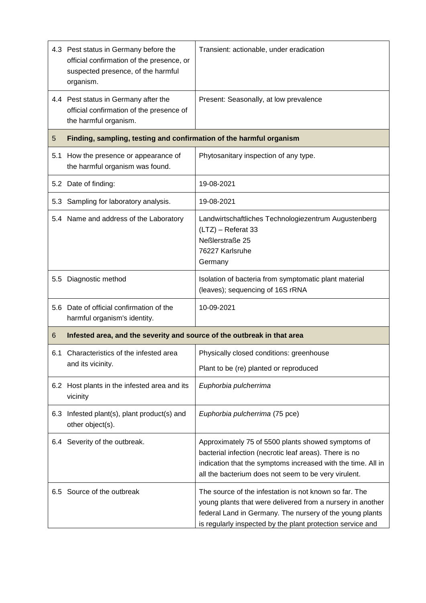|     | 4.3 Pest status in Germany before the<br>official confirmation of the presence, or<br>suspected presence, of the harmful<br>organism. | Transient: actionable, under eradication                                                                                                                                                                                                       |  |
|-----|---------------------------------------------------------------------------------------------------------------------------------------|------------------------------------------------------------------------------------------------------------------------------------------------------------------------------------------------------------------------------------------------|--|
|     | 4.4 Pest status in Germany after the<br>official confirmation of the presence of<br>the harmful organism.                             | Present: Seasonally, at low prevalence                                                                                                                                                                                                         |  |
| 5   | Finding, sampling, testing and confirmation of the harmful organism                                                                   |                                                                                                                                                                                                                                                |  |
| 5.1 | How the presence or appearance of<br>the harmful organism was found.                                                                  | Phytosanitary inspection of any type.                                                                                                                                                                                                          |  |
|     | 5.2 Date of finding:                                                                                                                  | 19-08-2021                                                                                                                                                                                                                                     |  |
| 5.3 | Sampling for laboratory analysis.                                                                                                     | 19-08-2021                                                                                                                                                                                                                                     |  |
|     | 5.4 Name and address of the Laboratory                                                                                                | Landwirtschaftliches Technologiezentrum Augustenberg<br>(LTZ) - Referat 33<br>Neßlerstraße 25<br>76227 Karlsruhe<br>Germany                                                                                                                    |  |
|     | 5.5 Diagnostic method                                                                                                                 | Isolation of bacteria from symptomatic plant material<br>(leaves); sequencing of 16S rRNA                                                                                                                                                      |  |
|     | 5.6 Date of official confirmation of the<br>harmful organism's identity.                                                              | 10-09-2021                                                                                                                                                                                                                                     |  |
| 6   | Infested area, and the severity and source of the outbreak in that area                                                               |                                                                                                                                                                                                                                                |  |
| 6.1 | Characteristics of the infested area<br>and its vicinity.                                                                             | Physically closed conditions: greenhouse                                                                                                                                                                                                       |  |
|     |                                                                                                                                       | Plant to be (re) planted or reproduced                                                                                                                                                                                                         |  |
|     | 6.2 Host plants in the infested area and its<br>vicinity                                                                              | Euphorbia pulcherrima                                                                                                                                                                                                                          |  |
| 6.3 | Infested plant(s), plant product(s) and<br>other object(s).                                                                           | Euphorbia pulcherrima (75 pce)                                                                                                                                                                                                                 |  |
|     | 6.4 Severity of the outbreak.                                                                                                         | Approximately 75 of 5500 plants showed symptoms of<br>bacterial infection (necrotic leaf areas). There is no<br>indication that the symptoms increased with the time. All in<br>all the bacterium does not seem to be very virulent.           |  |
|     | 6.5 Source of the outbreak                                                                                                            | The source of the infestation is not known so far. The<br>young plants that were delivered from a nursery in another<br>federal Land in Germany. The nursery of the young plants<br>is regularly inspected by the plant protection service and |  |